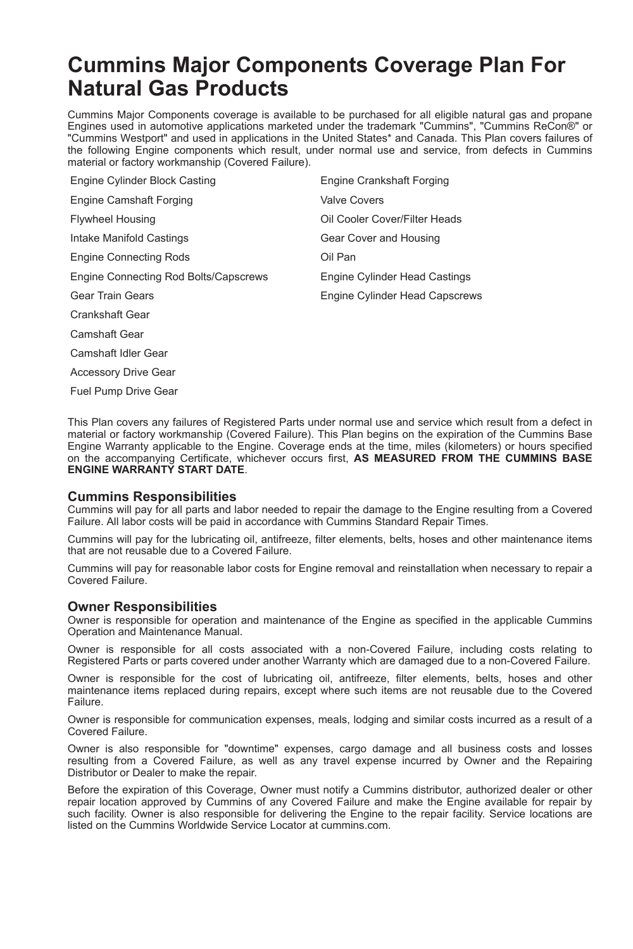# **Cummins Major Components Coverage Plan For Natural Gas Products**

Cummins Major Components coverage is available to be purchased for all eligible natural gas and propane Engines used in automotive applications marketed under the trademark "Cummins", "Cummins ReCon®" or "Cummins Westport" and used in applications in the United States\* and Canada. This Plan covers failures of the following Engine components which result, under normal use and service, from defects in Cummins material or factory workmanship (Covered Failure).

| Engine Cylinder Block Casting         | Engine Crankshaft Forging      |
|---------------------------------------|--------------------------------|
| Engine Camshaft Forging               | <b>Valve Covers</b>            |
| <b>Flywheel Housing</b>               | Oil Cooler Cover/Filter Heads  |
| Intake Manifold Castings              | Gear Cover and Housing         |
| <b>Engine Connecting Rods</b>         | Oil Pan                        |
| Engine Connecting Rod Bolts/Capscrews | Engine Cylinder Head Castings  |
| Gear Train Gears                      | Engine Cylinder Head Capscrews |
| <b>Crankshaft Gear</b>                |                                |
| Camshaft Gear                         |                                |

Camshaft Idler Gear

Accessory Drive Gear

Fuel Pump Drive Gear

This Plan covers any failures of Registered Parts under normal use and service which result from a defect in material or factory workmanship (Covered Failure). This Plan begins on the expiration of the Cummins Base Engine Warranty applicable to the Engine. Coverage ends at the time, miles (kilometers) or hours specified on the accompanying Certificate, whichever occurs first, **AS MEASURED FROM THE CUMMINS BASE ENGINE WARRANTY START DATE**.

### **Cummins Responsibilities**

Cummins will pay for all parts and labor needed to repair the damage to the Engine resulting from a Covered Failure. All labor costs will be paid in accordance with Cummins Standard Repair Times.

Cummins will pay for the lubricating oil, antifreeze, filter elements, belts, hoses and other maintenance items that are not reusable due to a Covered Failure.

Cummins will pay for reasonable labor costs for Engine removal and reinstallation when necessary to repair a Covered Failure.

### **Owner Responsibilities**

Owner is responsible for operation and maintenance of the Engine as specified in the applicable Cummins Operation and Maintenance Manual.

Owner is responsible for all costs associated with a non-Covered Failure, including costs relating to Registered Parts or parts covered under another Warranty which are damaged due to a non-Covered Failure.

Owner is responsible for the cost of lubricating oil, antifreeze, filter elements, belts, hoses and other maintenance items replaced during repairs, except where such items are not reusable due to the Covered Failure.

Owner is responsible for communication expenses, meals, lodging and similar costs incurred as a result of a Covered Failure.

Owner is also responsible for "downtime" expenses, cargo damage and all business costs and losses resulting from a Covered Failure, as well as any travel expense incurred by Owner and the Repairing Distributor or Dealer to make the repair.

Before the expiration of this Coverage, Owner must notify a Cummins distributor, authorized dealer or other repair location approved by Cummins of any Covered Failure and make the Engine available for repair by such facility. Owner is also responsible for delivering the Engine to the repair facility. Service locations are listed on the Cummins Worldwide Service Locator at cummins.com.